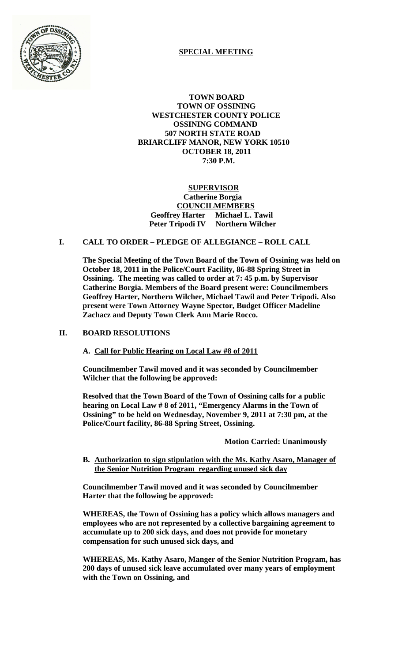

# **SPECIAL MEETING**

 **TOWN BOARD TOWN OF OSSINING WESTCHESTER COUNTY POLICE OSSINING COMMAND 507 NORTH STATE ROAD BRIARCLIFF MANOR, NEW YORK 10510 OCTOBER 18, 2011 7:30 P.M.**

## **SUPERVISOR Catherine Borgia COUNCILMEMBERS Geoffrey Harter Michael L. Tawil Peter Tripodi IV Northern Wilcher**

# **I. CALL TO ORDER – PLEDGE OF ALLEGIANCE – ROLL CALL**

**The Special Meeting of the Town Board of the Town of Ossining was held on October 18, 2011 in the Police/Court Facility, 86-88 Spring Street in Ossining. The meeting was called to order at 7: 45 p.m. by Supervisor Catherine Borgia. Members of the Board present were: Councilmembers Geoffrey Harter, Northern Wilcher, Michael Tawil and Peter Tripodi. Also present were Town Attorney Wayne Spector, Budget Officer Madeline Zachacz and Deputy Town Clerk Ann Marie Rocco.**

## **II. BOARD RESOLUTIONS**

## **A. Call for Public Hearing on Local Law #8 of 2011**

**Councilmember Tawil moved and it was seconded by Councilmember Wilcher that the following be approved:**

**Resolved that the Town Board of the Town of Ossining calls for a public hearing on Local Law # 8 of 2011, "Emergency Alarms in the Town of Ossining" to be held on Wednesday, November 9, 2011 at 7:30 pm, at the Police/Court facility, 86-88 Spring Street, Ossining.**

**Motion Carried: Unanimously**

**B. Authorization to sign stipulation with the Ms. Kathy Asaro, Manager of the Senior Nutrition Program regarding unused sick day**

**Councilmember Tawil moved and it was seconded by Councilmember Harter that the following be approved:**

**WHEREAS, the Town of Ossining has a policy which allows managers and employees who are not represented by a collective bargaining agreement to accumulate up to 200 sick days, and does not provide for monetary compensation for such unused sick days, and**

**WHEREAS, Ms. Kathy Asaro, Manger of the Senior Nutrition Program, has 200 days of unused sick leave accumulated over many years of employment with the Town on Ossining, and**